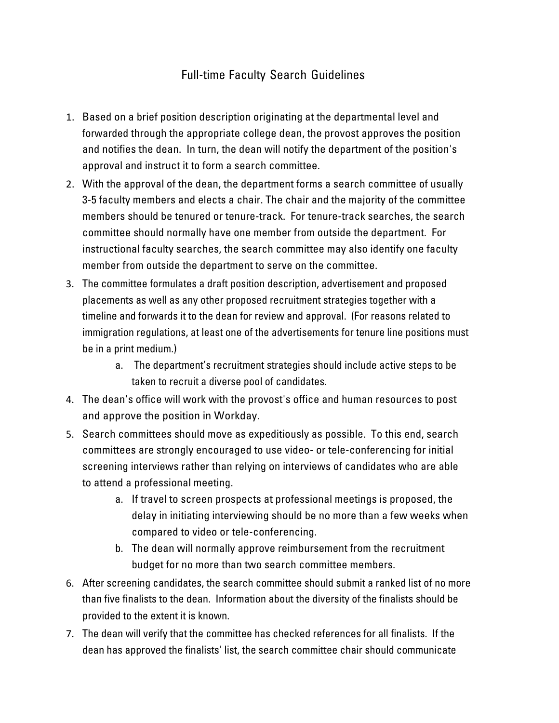## Full-time Faculty Search Guidelines

- 1. Based on a brief position description originating at the departmental level and forwarded through the appropriate college dean, the provost approves the position and notifies the dean. In turn, the dean will notify the department of the position's approval and instruct it to form a search committee.
- 2. With the approval of the dean, the department forms a search committee of usually 3-5 faculty members and elects a chair. The chair and the majority of the committee members should be tenured or tenure-track. For tenure-track searches, the search committee should normally have one member from outside the department. For instructional faculty searches, the search committee may also identify one faculty member from outside the department to serve on the committee.
- 3. The committee formulates a draft position description, advertisement and proposed placements as well as any other proposed recruitment strategies together with a timeline and forwards it to the dean for review and approval. (For reasons related to immigration regulations, at least one of the advertisements for tenure line positions must be in a print medium.)
	- a. The department's recruitment strategies should include active steps to be taken to recruit a diverse pool of candidates.
- 4. The dean's office will work with the provost's office and human resources to post and approve the position in Workday.
- 5. Search committees should move as expeditiously as possible. To this end, search committees are strongly encouraged to use video- or tele-conferencing for initial screening interviews rather than relying on interviews of candidates who are able to attend a professional meeting.
	- a. If travel to screen prospects at professional meetings is proposed, the delay in initiating interviewing should be no more than a few weeks when compared to video or tele-conferencing.
	- b. The dean will normally approve reimbursement from the recruitment budget for no more than two search committee members.
- 6. After screening candidates, the search committee should submit a ranked list of no more than five finalists to the dean. Information about the diversity of the finalists should be provided to the extent it is known.
- 7. The dean will verify that the committee has checked references for all finalists. If the dean has approved the finalists' list, the search committee chair should communicate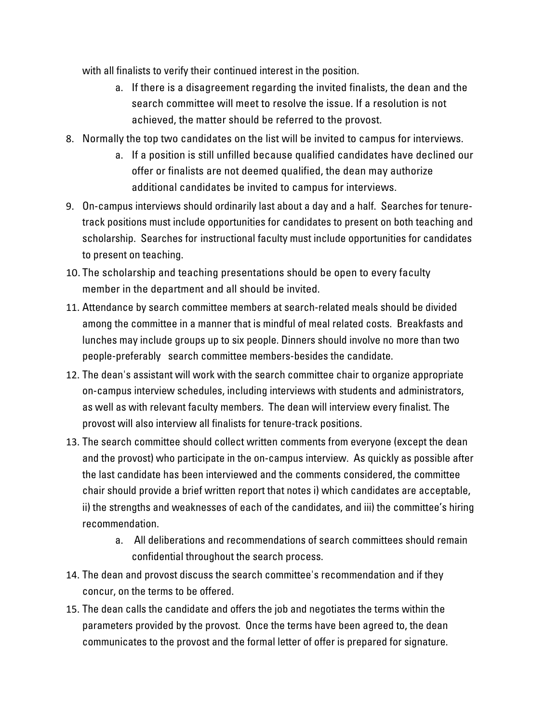with all finalists to verify their continued interest in the position.

- a. If there is a disagreement regarding the invited finalists, the dean and the search committee will meet to resolve the issue. If a resolution is not achieved, the matter should be referred to the provost.
- 8. Normally the top two candidates on the list will be invited to campus for interviews.
	- a. If a position is still unfilled because qualified candidates have declined our offer or finalists are not deemed qualified, the dean may authorize additional candidates be invited to campus for interviews.
- 9. On-campus interviews should ordinarily last about a day and a half. Searches for tenuretrack positions must include opportunities for candidates to present on both teaching and scholarship. Searches for instructional faculty must include opportunities for candidates to present on teaching.
- 10. The scholarship and teaching presentations should be open to every faculty member in the department and all should be invited.
- 11. Attendance by search committee members at search-related meals should be divided among the committee in a manner that is mindful of meal related costs. Breakfasts and lunches may include groups up to six people. Dinners should involve no more than two people-preferably search committee members-besides the candidate.
- 12. The dean's assistant will work with the search committee chair to organize appropriate on-campus interview schedules, including interviews with students and administrators, as well as with relevant faculty members. The dean will interview every finalist. The provost will also interview all finalists for tenure-track positions.
- 13. The search committee should collect written comments from everyone (except the dean and the provost) who participate in the on-campus interview. As quickly as possible after the last candidate has been interviewed and the comments considered, the committee chair should provide a brief written report that notes i) which candidates are acceptable, ii) the strengths and weaknesses of each of the candidates, and iii) the committee's hiring recommendation.
	- a. All deliberations and recommendations of search committees should remain confidential throughout the search process.
- 14. The dean and provost discuss the search committee's recommendation and if they concur, on the terms to be offered.
- 15. The dean calls the candidate and offers the job and negotiates the terms within the parameters provided by the provost. Once the terms have been agreed to, the dean communicates to the provost and the formal letter of offer is prepared for signature.